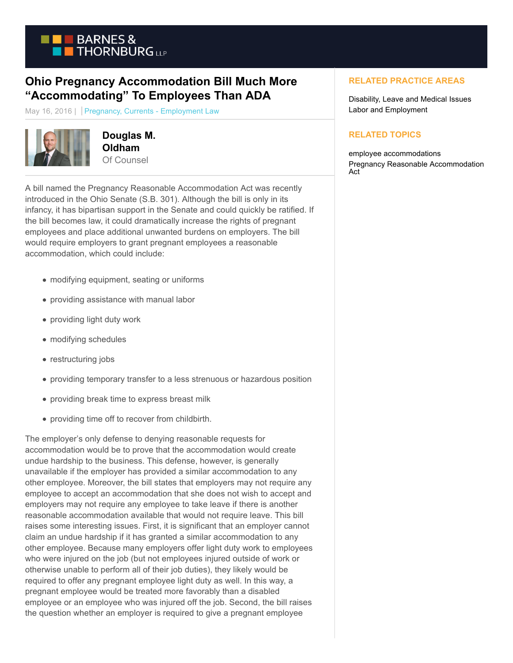

## **Ohio Pregnancy Accommodation Bill Much More "Accommodating" To Employees Than ADA**

May 16, 2016 | Pregnancy, Currents - Employment Law



**Douglas M. Oldham** Of Counsel

A bill named the Pregnancy Reasonable Accommodation Act was recently introduced in the Ohio Senate (S.B. 301). Although the bill is only in its infancy, it has bipartisan support in the Senate and could quickly be ratified. If the bill becomes law, it could dramatically increase the rights of pregnant employees and place additional unwanted burdens on employers. The bill would require employers to grant pregnant employees a reasonable accommodation, which could include:

- modifying equipment, seating or uniforms
- providing assistance with manual labor
- providing light duty work
- modifying schedules
- restructuring jobs
- providing temporary transfer to a less strenuous or hazardous position
- providing break time to express breast milk
- providing time off to recover from childbirth.

The employer's only defense to denying reasonable requests for accommodation would be to prove that the accommodation would create undue hardship to the business. This defense, however, is generally unavailable if the employer has provided a similar accommodation to any other employee. Moreover, the bill states that employers may not require any employee to accept an accommodation that she does not wish to accept and employers may not require any employee to take leave if there is another reasonable accommodation available that would not require leave. This bill raises some interesting issues. First, it is significant that an employer cannot claim an undue hardship if it has granted a similar accommodation to any other employee. Because many employers offer light duty work to employees who were injured on the job (but not employees injured outside of work or otherwise unable to perform all of their job duties), they likely would be required to offer any pregnant employee light duty as well. In this way, a pregnant employee would be treated more favorably than a disabled employee or an employee who was injured off the job. Second, the bill raises the question whether an employer is required to give a pregnant employee

## **RELATED PRACTICE AREAS**

Disability, Leave and Medical Issues Labor and Employment

## **RELATED TOPICS**

employee accommodations Pregnancy Reasonable Accommodation Act